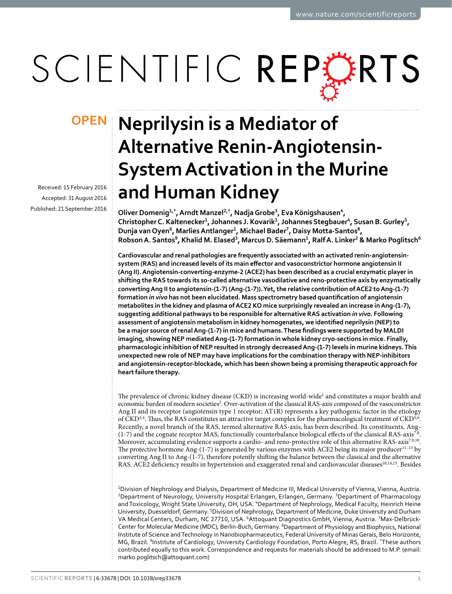# SCIENTIFIC REPERTS

Received: 15 February 2016 accepted: 31 August 2016 Published: 21 September 2016

## **Neprilysin is a Mediator of OPENAlternative Renin-Angiotensin-System Activation in the Murine and Human Kidney**

**Oliver Domenig<sup>1</sup>,\*, Arndt Manzel<sup>2</sup>,\*, NadjaGrobe<sup>3</sup>, Eva Königshausen<sup>4</sup>, ChristopherC. Kaltenecker<sup>1</sup>, Johannes J. Kovarik<sup>1</sup>, Johannes Stegbauer<sup>4</sup>, Susan B.Gurley<sup>5</sup>, Dunja van Oyen<sup>6</sup>, MarliesAntlanger<sup>1</sup>, Michael Bader<sup>7</sup>, Daisy Motta-Santos<sup>8</sup>, RobsonA. Santos<sup>9</sup>, Khalid M. Elased<sup>3</sup>, Marcus D. Säemann<sup>1</sup>, RalfA. Linker<sup>2</sup> & Marko Poglitsch<sup>6</sup>**

**Cardiovascular and renal pathologies are frequently associated with an activated renin-angiotensinsystem (RAS) and increased levels of its main effector and vasoconstrictor hormone angiotensin II (Ang II). Angiotensin-converting-enzyme-2 (ACE2) has been described as a crucial enzymatic player in shifting the RAS towards its so-called alternative vasodilative and reno-protective axis by enzymatically converting Ang II to angiotensin-(1-7) (Ang-(1-7)). Yet, the relative contribution of ACE2 to Ang-(1-7) formation** *in vivo* **has not been elucidated. Mass spectrometry based quantification of angiotensin metabolites in the kidney and plasma of ACE2 KO mice surprisingly revealed an increase in Ang-(1-7), suggesting additional pathways to be responsible for alternative RAS activation** *in vivo***. Following assessment of angiotensin metabolism in kidney homogenates, we identified neprilysin (NEP) to be a major source of renal Ang-(1-7) in mice and humans. These findings were supported by MALDI imaging, showing NEP mediated Ang-(1-7) formation in whole kidney cryo-sections in mice. Finally, pharmacologic inhibition of NEP resulted in strongly decreased Ang-(1-7) levels in murine kidneys. This unexpected new role of NEP may have implications for the combination therapy with NEP-inhibitors and angiotensin-receptor-blockade, which has been shown being a promising therapeutic approach for heart failure therapy.**

The prevalence of chronic kidney disease (CKD) is increasing world-wide<sup>1</sup> and constitutes a major health and economic burden of modern societies<sup>[2](#page-8-1)</sup>. Over-activation of the classical RAS-axis composed of the vasoconstrictor Ang II and its receptor (angiotensin type 1 receptor; AT1R) represents a key pathogenic factor in the etiology of CKD<sup>[3](#page-8-2),4</sup>. Thus, the RAS constitutes an attractive target complex for the pharmacological treatment of CKD<sup>[5](#page-8-4),6</sup>. Recently, a novel branch of the RAS, termed alternative RAS-axis, has been described. Its constituents, Ang-  $(1-7)$  $(1-7)$  $(1-7)$  and the cognate receptor MAS, functionally counterbalance biological effects of the classical RAS-axis<sup>7,8</sup>. Moreover, accumulating evidence supports a cardio- and reno-protective role of this alternative RAS-axis<sup>7,[9,](#page-8-8)10</sup>. The protective hormone Ang- $(1-7)$  is generated by various enzymes with ACE2 being its major producer $11-13$  by converting Ang II to Ang-(1-7), therefore potently shifting the balance between the classical and the alternative RAS. ACE2 deficiency results in hypertension and exaggerated renal and cardiovascular diseases<sup>[10](#page-8-9),[14](#page-8-11),[15](#page-8-12)</sup>. Besides

<sup>1</sup>Division of Nephrology and Dialysis, Department of Medicine III, Medical University of Vienna, Vienna, Austria. <sup>2</sup>Department of Neurology, University Hospital Erlangen, Erlangen, Germany. <sup>3</sup>Department of Pharmacology and Toxicology, Wright State University, OH, USA. <sup>4</sup>Department of Nephrology, Medical Faculty, Heinrich Heine University, Duesseldorf, Germany. <sup>5</sup>Division of Nephrology, Department of Medicine, Duke University and Durham VA Medical Centers, Durham, NC 27710, USA. 6Attoquant Diagnostics GmbH, Vienna, Austria. 7Max-Delbrück-Center for Molecular Medicine (MDC), Berlin-Buch, Germany. <sup>8</sup>Department of Physiology and Biophysics, National Institute of Science and Technology in Nanobiopharmaceutics, Federal University of Minas Gerais, Belo Horizonte, MG, Brazil. <sup>9</sup>Institute of Cardiology, University Cardiology Foundation, Porto Alegre, RS, Brazil. \*These authors contributed equally to this work. Correspondence and requests for materials should be addressed to M.P. (email: [marko.poglitsch@attoquant.com\)](mailto:marko.poglitsch@attoquant.com)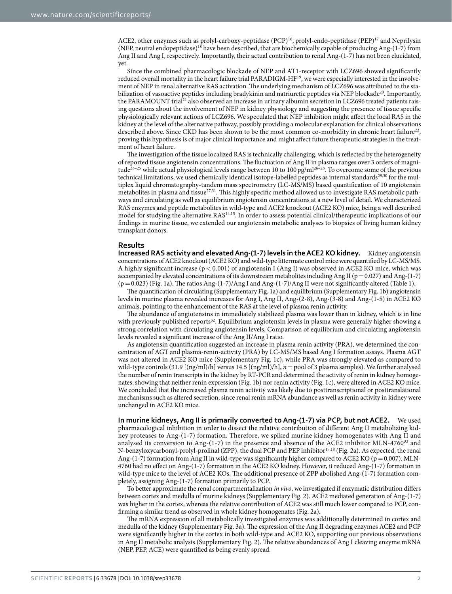ACE2, other enzymes such as prolyl-carboxy-peptidase (PCP)<sup>[16](#page-8-13)</sup>, prolyl-endo-peptidase (PEP)<sup>17</sup> and Neprilysin (NEP, neutral endopeptidase[\)18](#page-8-15) have been described, that are biochemically capable of producing Ang-(1-7) from Ang II and Ang I, respectively. Importantly, their actual contribution to renal Ang-(1-7) has not been elucidated, yet.

Since the combined pharmacologic blockade of NEP and AT1-receptor with LCZ696 showed significantly reduced overall mortality in the heart failure trial PARADIGM-H[F19,](#page-8-16) we were especially interested in the involvement of NEP in renal alternative RAS activation. The underlying mechanism of LCZ696 was attributed to the stabilization of vasoactive peptides including bradykinin and natriuretic peptides via NEP blockade<sup>20</sup>. Importantly, the PARAMOUNT trial<sup>[21](#page-8-18)</sup> also observed an increase in urinary albumin secretion in LCZ696 treated patients raising questions about the involvement of NEP in kidney physiology and suggesting the presence of tissue specific physiologically relevant actions of LCZ696. We speculated that NEP inhibition might affect the local RAS in the kidney at the level of the alternative pathway, possibly providing a molecular explanation for clinical observations described above. Since CKD has been shown to be the most common co-morbidity in chronic heart failure<sup>22</sup>, proving this hypothesis is of major clinical importance and might affect future therapeutic strategies in the treatment of heart failure.

The investigation of the tissue localized RAS is technically challenging, which is reflected by the heterogeneity of reported tissue angiotensin concentrations. The fluctuation of Ang II in plasma ranges over 3 orders of magnitude<sup>23–25</sup> while actual physiological levels range between 10 to 100 pg/ml<sup>26–28</sup>. To overcome some of the previous technical limitations, we used chemically identical isotope-labelled peptides as internal standards<sup>[29,](#page-9-1)[30](#page-9-2)</sup> for the multiplex liquid chromatography-tandem mass spectrometry (LC-MS/MS) based quantification of 10 angiotensin metabolites in plasma and tissue<sup>27,31</sup>. This highly specific method allowed us to investigate RAS metabolic pathways and circulating as well as equilibrium angiotensin concentrations at a new level of detail. We characterized RAS enzymes and peptide metabolites in wild-type and ACE2 knockout (ACE2 KO) mice, being a well described model for studying the alternative RAS<sup>[14,](#page-8-11)15</sup>. In order to assess potential clinical/therapeutic implications of our findings in murine tissue, we extended our angiotensin metabolic analyses to biopsies of living human kidney transplant donors.

#### **Results**

**Increased RAS activity and elevated Ang-(1-7) levels in the ACE2 KO kidney.** Kidney angiotensin concentrations of ACE2 knockout (ACE2 KO) and wild-type littermate control mice were quantified by LC-MS/MS. A highly significant increase (p< 0.001) of angiotensin I (Ang I) was observed in ACE2 KO mice, which was accompanied by elevated concentrations of its downstream metabolites including Ang II ( $p= 0.027$ ) and Ang-(1-7)  $(p=0.023)$  [\(Fig. 1a\)](#page-2-0). The ratios Ang- $(1-7)/$ Ang I and Ang- $(1-7)/$ Ang II were not significantly altered [\(Table 1\)](#page-2-1).

The quantification of circulating (Supplementary Fig. 1a) and equilibrium (Supplementary Fig. 1b) angiotensin levels in murine plasma revealed increases for Ang I, Ang II, Ang-(2-8), Ang-(3-8) and Ang-(1-5) in ACE2 KO animals, pointing to the enhancement of the RAS at the level of plasma renin activity.

The abundance of angiotensins in immediately stabilized plasma was lower than in kidney, which is in line with previously published reports<sup>[32](#page-9-5)</sup>. Equilibrium angiotensin levels in plasma were generally higher showing a strong correlation with circulating angiotensin levels. Comparison of equilibrium and circulating angiotensin levels revealed a significant increase of the Ang II/Ang I ratio.

As angiotensin quantification suggested an increase in plasma renin activity (PRA), we determined the concentration of AGT and plasma-renin-activity (PRA) by LC-MS/MS based Ang I formation assays. Plasma AGT was not altered in ACE2 KO mice (Supplementary Fig. 1c), while PRA was strongly elevated as compared to wild-type controls (31.9 [(ng/ml)/h] versus 14.5 [(ng/ml)/h],  $n =$  pool of 3 plasma samples). We further analysed the number of renin transcripts in the kidney by RT-PCR and determined the activity of renin in kidney homogenates, showing that neither renin expression [\(Fig. 1b\)](#page-2-0) nor renin activity [\(Fig. 1c\)](#page-2-0), were altered in ACE2 KO mice. We concluded that the increased plasma renin activity was likely due to posttranscriptional or posttranslational mechanisms such as altered secretion, since renal renin mRNA abundance as well as renin activity in kidney were unchanged in ACE2 KO mice.

**In murine kidneys, Ang II is primarily converted to Ang-(1-7) via PCP, but not ACE2.** We used pharmacological inhibition in order to dissect the relative contribution of different Ang II metabolizing kidney proteases to Ang-(1-7) formation. Therefore, we spiked murine kidney homogenates with Ang II and analysed its conversion to Ang-(1-7) in the presence and absence of the ACE2 inhibitor MLN-4760<sup>33</sup> and N-benzyloxycarbonyl-prolyl-prolinal (ZPP), the dual PCP and PEP inhibitor<sup>[17](#page-8-14),[18](#page-8-15)</sup> [\(Fig. 2a\)](#page-3-0). As expected, the renal Ang-(1-7) formation from Ang II in wild-type was significantly higher compared to ACE2 KO ( $p = 0.007$ ). MLN-4760 had no effect on Ang-(1-7) formation in the ACE2 KO kidney. However, it reduced Ang-(1-7) formation in wild-type mice to the level of ACE2 KOs. The additional presence of ZPP abolished Ang-(1-7) formation completely, assigning Ang-(1-7) formation primarily to PCP.

To better approximate the renal compartmentalization *in vivo*, we investigated if enzymatic distribution differs between cortex and medulla of murine kidneys (Supplementary Fig. 2). ACE2 mediated generation of Ang-(1-7) was higher in the cortex, whereas the relative contribution of ACE2 was still much lower compared to PCP, confirming a similar trend as observed in whole kidney homogenates ([Fig. 2a](#page-3-0)).

The mRNA expression of all metabolically investigated enzymes was additionally determined in cortex and medulla of the kidney (Supplementary Fig. 3a). The expression of the Ang II degrading enzymes ACE2 and PCP were significantly higher in the cortex in both wild-type and ACE2 KO, supporting our previous observations in Ang II metabolic analysis (Supplementary Fig. 2). The relative abundances of Ang I cleaving enzyme mRNA (NEP, PEP, ACE) were quantified as being evenly spread.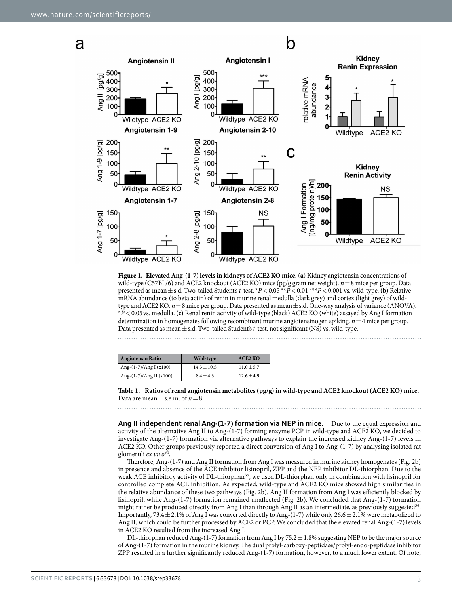

<span id="page-2-0"></span>**Figure 1. Elevated Ang-(1-7) levels in kidneys of ACE2 KO mice.** (**a**) Kidney angiotensin concentrations of wild-type (C57BL/6) and ACE2 knockout (ACE2 KO) mice (pg/g gram net weight). *n*=8 mice per group. Data presented as mean±s.d. Two-tailed Student's *t*-test. \**P*<0.05 \*\**P*<0.01 \*\*\**P*<0.001 vs. wild-type. **(b)** Relative mRNA abundance (to beta actin) of renin in murine renal medulla (dark grey) and cortex (light grey) of wildtype and ACE2 KO.  $n=8$  mice per group. Data presented as mean  $\pm$  s.d. One-way analysis of variance (ANOVA). \**P*<0.05vs. medulla. **(c)** Renal renin activity of wild-type (black) ACE2 KO (white) assayed by Ang I formation determination in homogenates following recombinant murine angiotensinogen spiking. *n*=4 mice per group. Data presented as mean  $\pm$  s.d. Two-tailed Student's *t*-test. not significant (NS) vs. wild-type.

<span id="page-2-1"></span>

| <b>Angiotensin Ratio</b>      | Wild-type     | ACE2 KO      |
|-------------------------------|---------------|--------------|
| Ang- $(1-7)/$ Ang I $(x100)$  | $14.3 + 10.5$ | $11.0 + 5.7$ |
| Ang- $(1-7)/$ Ang II $(x100)$ | $8.4 + 4.3$   | $12.6 + 4.9$ |

**Table 1. Ratios of renal angiotensin metabolites (pg/g) in wild-type and ACE2 knockout (ACE2 KO) mice.** Data are mean  $\pm$  s.e.m. of  $n=8$ .

**Ang II independent renal Ang-(1-7) formation via NEP in mice.** Due to the equal expression and activity of the alternative Ang II to Ang-(1-7) forming enzyme PCP in wild-type and ACE2 KO, we decided to investigate Ang-(1-7) formation via alternative pathways to explain the increased kidney Ang-(1-7) levels in ACE2 KO. Other groups previously reported a direct conversion of Ang I to Ang-(1-7) by analysing isolated rat glomeruli *ex vivo*[34.](#page-9-7)

Therefore, Ang-(1-7) and Ang II formation from Ang I was measured in murine kidney homogenates ([Fig. 2b\)](#page-3-0) in presence and absence of the ACE inhibitor lisinopril, ZPP and the NEP inhibitor DL-thiorphan. Due to the weak ACE inhibitory activity of DL-thiorphan<sup>[35](#page-9-8)</sup>, we used DL-thiorphan only in combination with lisinopril for controlled complete ACE inhibition. As expected, wild-type and ACE2 KO mice showed high similarities in the relative abundance of these two pathways ([Fig. 2b\)](#page-3-0). Ang II formation from Ang I was efficiently blocked by lisinopril, while Ang-(1-7) formation remained unaffected ([Fig. 2b\)](#page-3-0). We concluded that Ang-(1-7) formation might rather be produced directly from Ang I than through Ang II as an intermediate, as previously suggested<sup>36</sup>. Importantly,  $73.4 \pm 2.1\%$  of Ang I was converted directly to Ang-(1-7) while only  $26.6 \pm 2.1\%$  were metabolized to Ang II, which could be further processed by ACE2 or PCP. We concluded that the elevated renal Ang-(1-7) levels in ACE2 KO resulted from the increased Ang I.

DL-thiorphan reduced Ang-(1-7) formation from Ang I by 75.2  $\pm$  1.8% suggesting NEP to be the major source of Ang-(1-7) formation in the murine kidney. The dual prolyl-carboxy-peptidase/prolyl-endo-peptidase inhibitor ZPP resulted in a further significantly reduced Ang-(1-7) formation, however, to a much lower extent. Of note,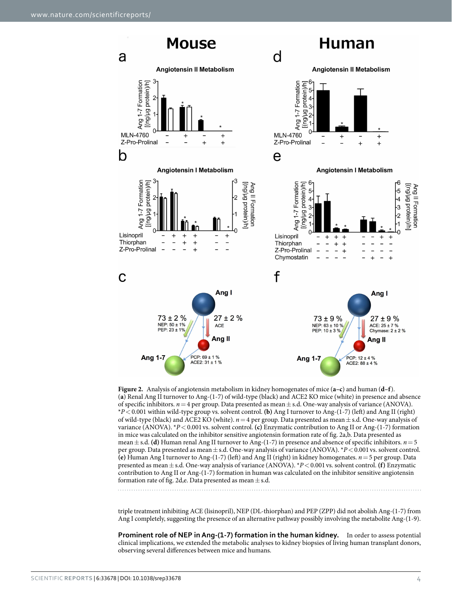

<span id="page-3-0"></span>**Figure 2.** Analysis of angiotensin metabolism in kidney homogenates of mice (**a–c**) and human (**d–f**). (**a**) Renal Ang II turnover to Ang-(1-7) of wild-type (black) and ACE2 KO mice (white) in presence and absence of specific inhibitors.  $n=4$  per group. Data presented as mean  $\pm$  s.d. One-way analysis of variance (ANOVA). \**P*<0.001 within wild-type group vs. solvent control. **(b)** Ang I turnover to Ang-(1-7) (left) and Ang II (right) of wild-type (black) and ACE2 KO (white).  $n=4$  per group. Data presented as mean  $\pm$  s.d. One-way analysis of variance (ANOVA). \**P*<0.001 vs. solvent control. **(c)** Enzymatic contribution to Ang II or Ang-(1-7) formation in mice was calculated on the inhibitor sensitive angiotensin formation rate of fig. 2a,b. Data presented as mean±s.d. **(d)** Human renal Ang II turnover to Ang-(1-7) in presence and absence of specific inhibitors. *n*=5 per group. Data presented as mean±s.d. One-way analysis of variance (ANOVA). \**P*<0.001 vs. solvent control. **(e)** Human Ang I turnover to Ang-(1-7) (left) and Ang II (right) in kidney homogenates. *n*=5 per group. Data presented as mean±s.d. One-way analysis of variance (ANOVA). \**P*<0.001 vs. solvent control. **(f)** Enzymatic contribution to Ang II or Ang-(1-7) formation in human was calculated on the inhibitor sensitive angiotensin formation rate of fig. 2d,e. Data presented as mean  $\pm$  s.d.

triple treatment inhibiting ACE (lisinopril), NEP (DL-thiorphan) and PEP (ZPP) did not abolish Ang-(1-7) from Ang I completely, suggesting the presence of an alternative pathway possibly involving the metabolite Ang-(1-9).

**Prominent role of NEP in Ang-(1-7) formation in the human kidney.** In order to assess potential clinical implications, we extended the metabolic analyses to kidney biopsies of living human transplant donors, observing several differences between mice and humans.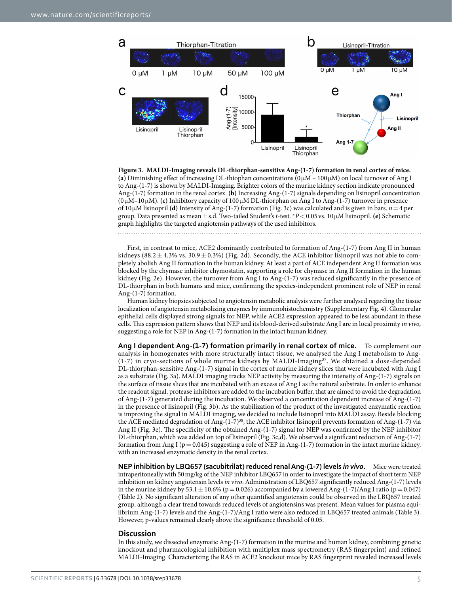

<span id="page-4-0"></span>**Figure 3. MALDI-Imaging reveals DL-thiorphan-sensitive Ang-(1-7) formation in renal cortex of mice. (a)** Diminishing effect of increasing DL-thiophan concentrations (0μM – 100μM) on local turnover of Ang I to Ang-(1-7) is shown by MALDI-Imaging. Brighter colors of the murine kidney section indicate pronounced Ang-(1-7) formation in the renal cortex. **(b)** Increasing Ang-(1-7) signals depending on lisinopril concentration (0μM–10μM). **(c)** Inhibitory capacity of 100μM DL-thiorphan on Ang I to Ang-(1-7) turnover in presence of 10μM lisinopril **(d)** Intensity of Ang-(1-7) formation (Fig. 3c) was calculated and is given in bars. *n*=4 per group. Data presented as mean±s.d. Two-tailed Student's *t*-test. \**P*<0.05 vs. 10μM lisinopril. **(e)** Schematic graph highlights the targeted angiotensin pathways of the used inhibitors.

First, in contrast to mice, ACE2 dominantly contributed to formation of Ang-(1-7) from Ang II in human kidneys (88.2  $\pm$  4.3% vs. 30.9  $\pm$  0.3%) [\(Fig. 2d](#page-3-0)). Secondly, the ACE inhibitor lisinopril was not able to completely abolish Ang II formation in the human kidney. At least a part of ACE independent Ang II formation was blocked by the chymase inhibitor chymostatin, supporting a role for chymase in Ang II formation in the human kidney [\(Fig. 2e](#page-3-0)). However, the turnover from Ang I to Ang-(1-7) was reduced significantly in the presence of DL-thiorphan in both humans and mice, confirming the species-independent prominent role of NEP in renal Ang-(1-7) formation.

Human kidney biopsies subjected to angiotensin metabolic analysis were further analysed regarding the tissue localization of angiotensin metabolizing enzymes by immunohistochemistry (Supplementary Fig. 4). Glomerular epithelial cells displayed strong signals for NEP, while ACE2 expression appeared to be less abundant in these cells. This expression pattern shows that NEP and its blood-derived substrate Ang I are in local proximity *in vivo*, suggesting a role for NEP in Ang-(1-7) formation in the intact human kidney.

**Ang I dependent Ang-(1-7) formation primarily in renal cortex of mice.** To complement our analysis in homogenates with more structurally intact tissue, we analysed the Ang I metabolism to Ang- (1-7) in cryo-sections of whole murine kidneys by MALDI-Imagin[g37](#page-9-10). We obtained a dose-depended DL-thiorphan-sensitive Ang-(1-7) signal in the cortex of murine kidney slices that were incubated with Ang I as a substrate [\(Fig. 3a](#page-4-0)). MALDI imaging tracks NEP activity by measuring the intensity of Ang-(1-7) signals on the surface of tissue slices that are incubated with an excess of Ang I as the natural substrate. In order to enhance the readout signal, protease inhibitors are added to the incubation buffer, that are aimed to avoid the degradation of Ang-(1-7) generated during the incubation. We observed a concentration dependent increase of Ang-(1-7) in the presence of lisinopril ([Fig. 3b\)](#page-4-0). As the stabilization of the product of the investigated enzymatic reaction is improving the signal in MALDI imaging, we decided to include lisinopril into MALDI assay. Beside blocking the ACE mediated degradation of Ang- $(1-7)^{38}$  $(1-7)^{38}$  $(1-7)^{38}$ , the ACE inhibitor lisinopril prevents formation of Ang- $(1-7)$  via Ang II ([Fig. 3e\)](#page-4-0). The specificity of the obtained Ang-(1-7) signal for NEP was confirmed by the NEP inhibitor DL-thiorphan, which was added on top of lisinopril [\(Fig. 3c,](#page-4-0)d). We observed a significant reduction of Ang-(1-7) formation from Ang I ( $p = 0.045$ ) suggesting a role of NEP in Ang-(1-7) formation in the intact murine kidney, with an increased enzymatic density in the renal cortex.

**NEP inhibition by LBQ657 (sacubitrilat) reduced renal Ang-(1-7) levels** *in vivo***.** Mice were treated intraperitoneally with 50mg/kg of the NEP inhibitor LBQ657 in order to investigate the impact of short term NEP inhibition on kidney angiotensin levels *in vivo*. Administration of LBQ657 significantly reduced Ang-(1-7) levels in the murine kidney by 53.1  $\pm$  10.6% (p = 0.026) accompanied by a lowered Ang-(1-7)/Ang I ratio (p = 0.047) ([Table 2](#page-5-0)). No significant alteration of any other quantified angiotensin could be observed in the LBQ657 treated group, although a clear trend towards reduced levels of angiotensins was present. Mean values for plasma equilibrium Ang-(1-7) levels and the Ang-(1-7)/Ang I ratio were also reduced in LBQ657 treated animals ([Table 3](#page-5-1)). However, p-values remained clearly above the significance threshold of 0.05.

#### **Discussion**

In this study, we dissected enzymatic Ang-(1-7) formation in the murine and human kidney, combining genetic knockout and pharmacological inhibition with multiplex mass spectrometry (RAS fingerprint) and refined MALDI-Imaging. Characterizing the RAS in ACE2 knockout mice by RAS fingerprint revealed increased levels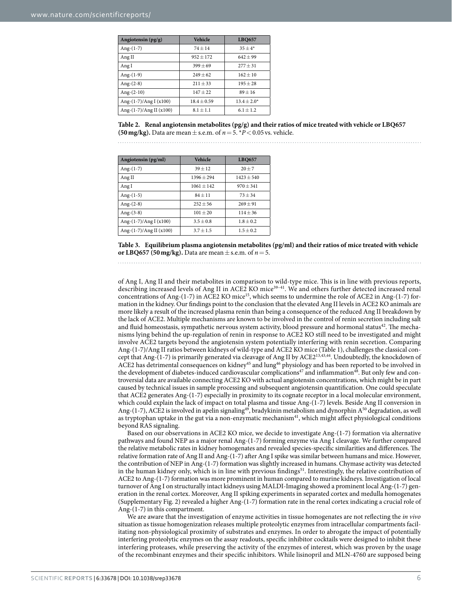<span id="page-5-0"></span>

| Angiotensin $(pg/g)$          | Vehicle       | LBQ657        |
|-------------------------------|---------------|---------------|
| Ang- $(1-7)$                  | $74 + 14$     | $35 + 4*$     |
| Ang II                        | $952 + 172$   | $642 + 99$    |
| Ang I                         | $399 + 69$    | $277 + 31$    |
| Ang- $(1-9)$                  | $249 + 62$    | $162 + 10$    |
| Ang- $(2-8)$                  | $211 + 33$    | $195 + 28$    |
| $Ang-(2-10)$                  | $147 + 22$    | $89 \pm 16$   |
| Ang- $(1-7)/$ Ang I $(x100)$  | $18.4 + 0.59$ | $13.4 + 2.0*$ |
| Ang- $(1-7)/$ Ang II $(x100)$ | $8.1 + 1.1$   | $6.1 + 1.2$   |

**Table 2. Renal angiotensin metabolites (pg/g) and their ratios of mice treated with vehicle or LBQ657 (50 mg/kg).** Data are mean  $\pm$  s.e.m. of  $n = 5$ . \**P* < 0.05 vs. vehicle.

<span id="page-5-1"></span>

| Angiotensin (pg/ml)           | Vehicle      | LBQ657       |
|-------------------------------|--------------|--------------|
| Ang- $(1-7)$                  | $39 + 12$    | $20 + 7$     |
| Ang II                        | $1396 + 294$ | $1423 + 540$ |
| Ang I                         | $1061 + 142$ | $970 + 341$  |
| Ang- $(1-5)$                  | $84 + 11$    | $73 + 34$    |
| $Ang-(2-8)$                   | $252 + 56$   | $269 + 91$   |
| $Ang-(3-8)$                   | $101 + 20$   | $114 + 36$   |
| Ang- $(1-7)/$ Ang I $(x100)$  | $3.5 + 0.8$  | $1.8 + 0.2$  |
| Ang- $(1-7)/$ Ang II $(x100)$ | $3.7 + 1.5$  | $1.5 + 0.2$  |

**Table 3. Equilibrium plasma angiotensin metabolites (pg/ml) and their ratios of mice treated with vehicle or LBQ657 (50 mg/kg).** Data are mean  $\pm$  s.e.m. of  $n = 5$ .

of Ang I, Ang II and their metabolites in comparison to wild-type mice. This is in line with previous reports, describing increased levels of Ang II in ACE2 KO mic[e39–41](#page-9-12). We and others further detected increased renal concentrations of Ang- $(1-7)$  in ACE2 KO mice<sup>15</sup>, which seems to undermine the role of ACE2 in Ang- $(1-7)$  formation in the kidney. Our findings point to the conclusion that the elevated Ang II levels in ACE2 KO animals are more likely a result of the increased plasma renin than being a consequence of the reduced Ang II breakdown by the lack of ACE2. Multiple mechanisms are known to be involved in the control of renin secretion including salt and fluid homeostasis, sympathetic nervous system activity, blood pressure and hormonal status<sup>42</sup>. The mechanisms lying behind the up-regulation of renin in response to ACE2 KO still need to be investigated and might involve ACE2 targets beyond the angiotensin system potentially interfering with renin secretion. Comparing Ang-(1-7)/Ang II ratios between kidneys of wild-type and ACE2 KO mice [\(Table 1\)](#page-2-1), challenges the classical con-cept that Ang-(1-7) is primarily generated via cleavage of Ang II by ACE2<sup>13,[43,](#page-9-14)44</sup>. Undoubtedly, the knockdown of ACE2 has detrimental consequences on kidney<sup>45</sup> and lung<sup>46</sup> physiology and has been reported to be involved in the development of diabetes-induced cardiovascular complications<sup>47</sup> and inflammation<sup>48</sup>. But only few and controversial data are available connecting ACE2 KO with actual angiotensin concentrations, which might be in part caused by technical issues in sample processing and subsequent angiotensin quantification. One could speculate that ACE2 generates Ang-(1-7) especially in proximity to its cognate receptor in a local molecular environment, which could explain the lack of impact on total plasma and tissue Ang-(1-7) levels. Beside Ang II conversion in Ang-(1-7), ACE2 is involved in apelin signaling<sup>49</sup>, bradykinin metabolism and dynorphin A<sup>[50](#page-9-21)</sup> degradation, as well as tryptophan uptake in the gut via a non-enzymatic mechanism<sup>[41](#page-9-22)</sup>, which might affect physiological conditions beyond RAS signaling.

Based on our observations in ACE2 KO mice, we decide to investigate Ang-(1-7) formation via alternative pathways and found NEP as a major renal Ang-(1-7) forming enzyme via Ang I cleavage. We further compared the relative metabolic rates in kidney homogenates and revealed species-specific similarities and differences. The relative formation rate of Ang II and Ang-(1-7) after Ang I spike was similar between humans and mice. However, the contribution of NEP in Ang-(1-7) formation was slightly increased in humans. Chymase activity was detected in the human kidney only, which is in line with previous findings<sup>[51](#page-9-23)</sup>. Interestingly, the relative contribution of ACE2 to Ang-(1-7) formation was more prominent in human compared to murine kidneys. Investigation of local turnover of Ang I on structurally intact kidneys using MALDI-Imaging showed a prominent local Ang-(1-7) generation in the renal cortex. Moreover, Ang II spiking experiments in separated cortex and medulla homogenates (Supplementary Fig. 2) revealed a higher Ang-(1-7) formation rate in the renal cortex indicating a crucial role of Ang-(1-7) in this compartment.

We are aware that the investigation of enzyme activities in tissue homogenates are not reflecting the *in vivo* situation as tissue homogenization releases multiple proteolytic enzymes from intracellular compartments facilitating non-physiological proximity of substrates and enzymes. In order to abrogate the impact of potentially interfering proteolytic enzymes on the assay readouts, specific inhibitor cocktails were designed to inhibit these interfering proteases, while preserving the activity of the enzymes of interest, which was proven by the usage of the recombinant enzymes and their specific inhibitors. While lisinopril and MLN-4760 are supposed being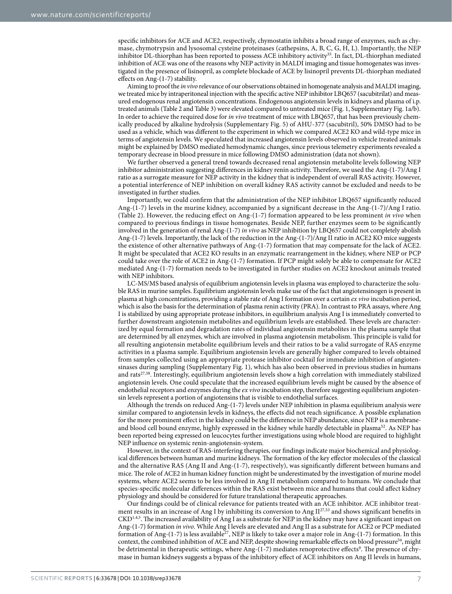specific inhibitors for ACE and ACE2, respectively, chymostatin inhibits a broad range of enzymes, such as chymase, chymotrypsin and lysosomal cysteine proteinases (cathepsins, A, B, C, G, H, L). Importantly, the NEP inhibitor DL-thiorphan has been reported to possess ACE inhibitory activity<sup>35</sup>. In fact, DL-thiorphan mediated inhibition of ACE was one of the reasons why NEP activity in MALDI imaging and tissue homogenates was investigated in the presence of lisinopril, as complete blockade of ACE by lisinopril prevents DL-thiorphan mediated effects on Ang-(1-7) stability.

Aiming to proof the *in vivo* relevance of our observations obtained in homogenate analysis and MALDI imaging, we treated mice by intraperitoneal injection with the specific active NEP inhibitor LBQ657 (sacubitrilat) and measured endogenous renal angiotensin concentrations. Endogenous angiotensin levels in kidneys and plasma of i.p. treated animals ([Table 2](#page-5-0) and [Table 3\)](#page-5-1) were elevated compared to untreated mice ([Fig. 1](#page-2-0), Supplementary Fig. 1a/b). In order to achieve the required dose for *in vivo* treatment of mice with LBQ657, that has been previously chemically produced by alkaline hydrolysis (Supplementary Fig. 5) of AHU-377 (sacubitril), 50% DMSO had to be used as a vehicle, which was different to the experiment in which we compared ACE2 KO and wild-type mice in terms of angiotensin levels. We speculated that increased angiotensin levels observed in vehicle treated animals might be explained by DMSO mediated hemodynamic changes, since previous telemetry experiments revealed a temporary decrease in blood pressure in mice following DMSO administration (data not shown).

We further observed a general trend towards decreased renal angiotensin metabolite levels following NEP inhibitor administration suggesting differences in kidney renin activity. Therefore, we used the Ang-(1-7)/Ang I ratio as a surrogate measure for NEP activity in the kidney that is independent of overall RAS activity. However, a potential interference of NEP inhibition on overall kidney RAS activity cannot be excluded and needs to be investigated in further studies.

Importantly, we could confirm that the administration of the NEP inhibitor LBQ657 significantly reduced Ang-(1-7) levels in the murine kidney, accompanied by a significant decrease in the Ang-(1-7)/Ang I ratio. ([Table 2](#page-5-0)). However, the reducing effect on Ang-(1-7) formation appeared to be less prominent *in vivo* when compared to previous findings in tissue homogenates. Beside NEP, further enzymes seem to be significantly involved in the generation of renal Ang-(1-7) *in vivo* as NEP inhibition by LBQ657 could not completely abolish Ang-(1-7) levels. Importantly, the lack of the reduction in the Ang-(1-7)/Ang II ratio in ACE2 KO mice suggests the existence of other alternative pathways of Ang-(1-7) formation that may compensate for the lack of ACE2. It might be speculated that ACE2 KO results in an enzymatic rearrangement in the kidney, where NEP or PCP could take over the role of ACE2 in Ang-(1-7) formation. If PCP might solely be able to compensate for ACE2 mediated Ang-(1-7) formation needs to be investigated in further studies on ACE2 knockout animals treated with NEP inhibitors.

LC-MS/MS based analysis of equilibrium angiotensin levels in plasma was employed to characterize the soluble RAS in murine samples. Equilibrium angiotensin levels make use of the fact that angiotensinogen is present in plasma at high concentrations, providing a stable rate of Ang I formation over a certain *ex vivo* incubation period, which is also the basis for the determination of plasma renin activity (PRA). In contrast to PRA assays, where Ang I is stabilized by using appropriate protease inhibitors, in equilibrium analysis Ang I is immediately converted to further downstream angiotensin metabolites and equilibrium levels are established. These levels are characterized by equal formation and degradation rates of individual angiotensin metabolites in the plasma sample that are determined by all enzymes, which are involved in plasma angiotensin metabolism. This principle is valid for all resulting angiotensin metabolite equilibrium levels and their ratios to be a valid surrogate of RAS enzyme activities in a plasma sample. Equilibrium angiotensin levels are generally higher compared to levels obtained from samples collected using an appropriate protease inhibitor cocktail for immediate inhibition of angiotensinases during sampling (Supplementary Fig. 1), which has also been observed in previous studies in humans and rats[27,](#page-9-3)[38.](#page-9-11) Interestingly, equilibrium angiotensin levels show a high correlation with immediately stabilized angiotensin levels. One could speculate that the increased equilibrium levels might be caused by the absence of endothelial receptors and enzymes during the *ex vivo* incubation step, therefore suggesting equilibrium angiotensin levels represent a portion of angiotensins that is visible to endothelial surfaces.

Although the trends on reduced Ang-(1-7) levels under NEP inhibition in plasma equilibrium analysis were similar compared to angiotensin levels in kidneys, the effects did not reach significance. A possible explanation for the more prominent effect in the kidney could be the difference in NEP abundance, since NEP is a membraneand blood cell bound enzyme, highly expressed in the kidney while hardly detectable in plasma[52.](#page-9-24) As NEP has been reported being expressed on leucocytes further investigations using whole blood are required to highlight NEP influence on systemic renin-angiotensin-system.

However, in the context of RAS-interfering therapies, our findings indicate major biochemical and physiological differences between human and murine kidneys. The formation of the key effector molecules of the classical and the alternative RAS (Ang II and Ang-(1-7), respectively), was significantly different between humans and mice. The role of ACE2 in human kidney function might be underestimated by the investigation of murine model systems, where ACE2 seems to be less involved in Ang II metabolism compared to humans. We conclude that species-specific molecular differences within the RAS exist between mice and humans that could affect kidney physiology and should be considered for future translational therapeutic approaches.

Our findings could be of clinical relevance for patients treated with an ACE inhibitor. ACE inhibitor treat-ment results in an increase of Ang I by inhibiting its conversion to Ang II<sup>[27,](#page-9-3)53</sup> and shows significant benefits in CK[D1](#page-8-0)[,4](#page-8-3),[5](#page-8-4). The increased availability of Ang I as a substrate for NEP in the kidney may have a significant impact on Ang-(1-7) formation *in vivo*. While Ang I levels are elevated and Ang II as a substrate for ACE2 or PCP mediated formation of Ang- $(1-7)$  is less available<sup>[27](#page-9-3)</sup>, NEP is likely to take over a major role in Ang- $(1-7)$  formation. In this context, the combined inhibition of ACE and NEP, despite showing remarkable effects on blood pressure<sup>54</sup>, might be detrimental in therapeutic settings, where Ang-(1-7) mediates renoprotective effects<sup>[9](#page-8-8)</sup>. The presence of chymase in human kidneys suggests a bypass of the inhibitory effect of ACE inhibitors on Ang II levels in humans,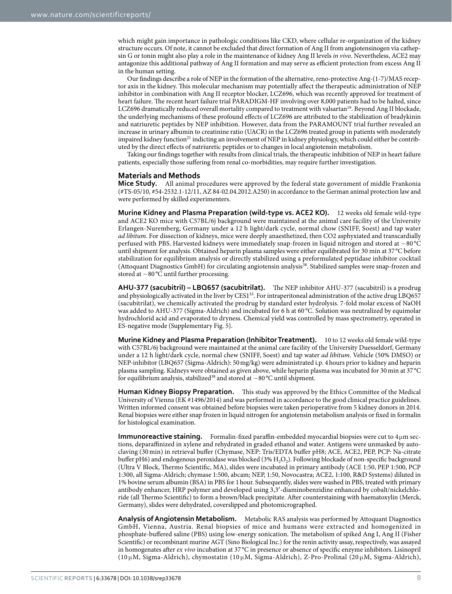which might gain importance in pathologic conditions like CKD, where cellular re-organization of the kidney structure occurs. Of note, it cannot be excluded that direct formation of Ang II from angiotensinogen via cathepsin G or tonin might also play a role in the maintenance of kidney Ang II levels *in vivo*. Nevertheless, ACE2 may antagonize this additional pathway of Ang II formation and may serve as efficient protection from excess Ang II in the human setting.

Our findings describe a role of NEP in the formation of the alternative, reno-protective Ang-(1-7)/MAS receptor axis in the kidney. This molecular mechanism may potentially affect the therapeutic administration of NEP inhibitor in combination with Ang II receptor blocker, LCZ696, which was recently approved for treatment of heart failure. The recent heart failure trial PARADIGM-HF involving over 8,000 patients had to be halted, since LCZ696 dramatically reduced overall mortality compared to treatment with valsartan<sup>19</sup>. Beyond Ang II blockade, the underlying mechanisms of these profound effects of LCZ696 are attributed to the stabilization of bradykinin and natriuretic peptides by NEP inhibition. However, data from the PARAMOUNT trial further revealed an increase in urinary albumin to creatinine ratio (UACR) in the LCZ696 treated group in patients with moderately impaired kidney function<sup>21</sup> indicting an involvement of NEP in kidney physiology, which could either be contributed by the direct effects of natriuretic peptides or to changes in local angiotensin metabolism.

Taking our findings together with results from clinical trials, the therapeutic inhibition of NEP in heart failure patients, especially those suffering from renal co-morbidities, may require further investigation.

#### **Materials and Methods**

**Mice Study.** All animal procedures were approved by the federal state government of middle Frankonia (#TS-05/10, #54-2532.1-12/11, AZ 84-02.04.2012.A250) in accordance to the German animal protection law and were performed by skilled experimenters.

**Murine Kidney and Plasma Preparation (wild-type vs. ACE2 KO).** 12 weeks old female wild-type and ACE2 KO mice with C57BL/6j background were maintained at the animal care facility of the University Erlangen-Nuremberg, Germany under a 12 h light/dark cycle, normal chow (SNIFF, Soest) and tap water *ad libitum*. For dissection of kidneys, mice were deeply anaesthetized, then CO2 asphyxiated and transcardially perfused with PBS. Harvested kidneys were immediately snap-frozen in liquid nitrogen and stored at −80 °C until shipment for analysis. Obtained heparin plasma samples were either equilibrated for 30 min at 37 °C before stabilization for equilibrium analysis or directly stabilized using a preformulated peptidase inhibitor cocktail (Attoquant Diagnostics GmbH) for circulating angiotensin analysis<sup>38</sup>. Stabilized samples were snap-frozen and stored at −80 °C until further processing.

**AHU-377 (sacubitril) – LBQ657 (sacubitrilat).** The NEP inhibitor AHU-377 (sacubitril) is a prodrug and physiologically activated in the liver by CES1<sup>[55](#page-9-27)</sup>. For intraperitoneal administration of the active drug LBQ657 (sacubitrilat), we chemically activated the prodrug by standard ester hydrolysis. 7-fold molar excess of NaOH was added to AHU-377 (Sigma-Aldrich) and incubated for 6 h at 60 °C. Solution was neutralized by equimolar hydrochlorid acid and evaporated to dryness. Chemical yield was controlled by mass spectrometry, operated in ES-negative mode (Supplementary Fig. 5).

**Murine Kidney and Plasma Preparation (Inhibitor Treatment).** 10 to 12 weeks old female wild-type with C57BL/6j background were maintained at the animal care facility of the University Duesseldorf, Germany under a 12 h light/dark cycle, normal chew (SNIFF, Soest) and tap water *ad libitum*. Vehicle (50% DMSO) or NEP-inhibitor (LBQ657 (Sigma-Aldrich): 50mg/kg) were administrated i.p. 4hours prior to kidney and heparin plasma sampling. Kidneys were obtained as given above, while heparin plasma was incubated for 30min at 37 °C for equilibrium analysis, stabilize[d38](#page-9-11) and stored at −80 °C until shipment.

**Human Kidney Biopsy Preparation.** This study was approved by the Ethics Committee of the Medical University of Vienna (EK #1496/2014) and was performed in accordance to the good clinical practice guidelines. Written informed consent was obtained before biopsies were taken perioperative from 5 kidney donors in 2014. Renal biopsies were either snap frozen in liquid nitrogen for angiotensin metabolism analysis or fixed in formalin for histological examination.

**Immunoreactive staining.** Formalin-fixed paraffin-embedded myocardial biopsies were cut to 4μm sections, deparaffinized in xylene and rehydrated in graded ethanol and water. Antigens were unmasked by autoclaving (30 min) in retrieval buffer (Chymase, NEP: Tris/EDTA buffer pH8; ACE, ACE2, PEP, PCP: Na-citrate buffer pH6) and endogenous peroxidase was blocked (3% H<sub>2</sub>O<sub>2</sub>). Following blockade of non-specific background (Ultra V Block, Thermo Scientific, MA), slides were incubated in primary antibody (ACE 1:50, PEP 1:500, PCP 1:300, all Sigma-Aldrich; chymase 1:500, abcam; NEP, 1:50, Novocastra; ACE2, 1:100, R&D Systems) diluted in 1% bovine serum albumin (BSA) in PBS for 1hour. Subsequently, slides were washed in PBS, treated with primary antibody enhancer, HRP polymer and developed using 3,3′-diaminobenzidine enhanced by cobalt/nickelchloride (all Thermo Scientific) to form a brown/black precipitate. After counterstaining with haematoxylin (Merck, Germany), slides were dehydrated, coverslipped and photomicrographed.

**Analysis of Angiotensin Metabolism.** Metabolic RAS analysis was performed by Attoquant Diagnostics GmbH, Vienna, Austria. Renal biopsies of mice and humans were extracted and homogenized in phosphate-buffered saline (PBS) using low-energy sonication. The metabolism of spiked Ang I, Ang II (Fisher Scientific) or recombinant murine AGT (Sino Biological Inc.) for the renin activity assay, respectively, was assayed in homogenates after *ex vivo* incubation at 37 °C in presence or absence of specific enzyme inhibitors. Lisinopril (10 μM, Sigma-Aldrich), chymostatin (10 μM, Sigma-Aldrich), Z-Pro-Prolinal (20 μM, Sigma-Aldrich),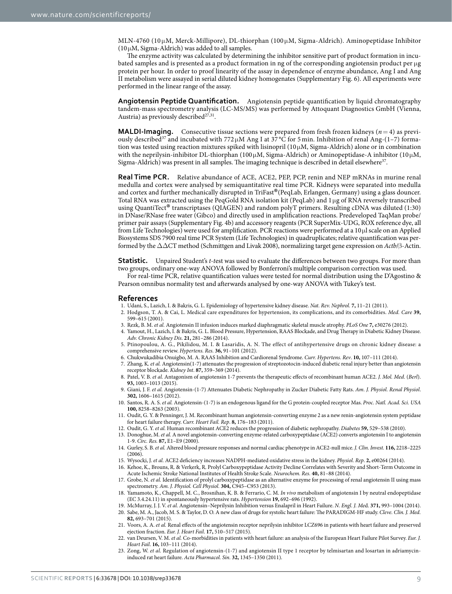MLN-4760 (10 μM, Merck-Millipore), DL-thiorphan (100 μM, Sigma-Aldrich). Aminopeptidase Inhibitor  $(10\,\mu\text{M}, \text{Sigma-Aldrich})$  was added to all samples.

The enzyme activity was calculated by determining the inhibitor sensitive part of product formation in incubated samples and is presented as a product formation in ng of the corresponding angiotensin product per μg protein per hour. In order to proof linearity of the assay in dependence of enzyme abundance, Ang I and Ang II metabolism were assayed in serial diluted kidney homogenates (Supplementary Fig. 6). All experiments were performed in the linear range of the assay.

**Angiotensin Peptide Quantification.** Angiotensin peptide quantification by liquid chromatography tandem-mass spectrometry analysis (LC-MS/MS) was performed by Attoquant Diagnostics GmbH (Vienna, Austria) as previously described<sup>[27,](#page-9-3)[31](#page-9-4)</sup>.

**MALDI-Imaging.** Consecutive tissue sections were prepared from fresh frozen kidneys  $(n=4)$  as previously described<sup>37</sup> and incubated with 772  $\mu$ M Ang I at 37 °C for 5 min. Inhibition of renal Ang-(1-7) formation was tested using reaction mixtures spiked with lisinopril ( $10\mu$ M, Sigma-Aldrich) alone or in combination with the neprilysin-inhibitor DL-thiorphan (100  $\mu$ M, Sigma-Aldrich) or Aminopeptidase-A inhibitor (10  $\mu$ M, Sigma-Aldrich) was present in all samples. The imaging technique is described in detail elsewhere<sup>37</sup>.

**Real Time PCR.** Relative abundance of ACE, ACE2, PEP, PCP, renin and NEP mRNAs in murine renal medulla and cortex were analysed by semiquantitative real time PCR. Kidneys were separated into medulla and cortex and further mechanically disrupted in TriFast®(PeqLab, Erlangen, Germany) using a glass douncer. Total RNA was extracted using the PeqGold RNA isolation kit (PeqLab) and 1 μg of RNA reversely transcribed using QuantiTect® transcriptases (QIAGEN) and random polyT primers. Resulting cDNA was diluted (1:30) in DNase/RNase free water (Gibco) and directly used in amplification reactions. Predeveloped TaqMan probe/ primer pair assays (Supplementary Fig. 4b) and accessory reagents (PCR SuperMix-UDG, ROX reference dye, all from Life Technologies) were used for amplification. PCR reactions were performed at a 10μl scale on an Applied Biosystems SDS 7900 real time PCR System (Life Technologies) in quadruplicates; relative quantification was performed by the ΔΔCT method (Schmittgen and Livak 2008), normalizing target gene expression on *Actb*/β-Actin.

**Statistic.** Unpaired Student's *t-t*est was used to evaluate the differences between two groups. For more than two groups, ordinary one-way ANOVA followed by Bonferroni's multiple comparison correction was used.

For real-time PCR, relative quantification values were tested for normal distribution using the D'Agostino & Pearson omnibus normality test and afterwards analysed by one-way ANOVA with Tukey's test.

#### **References**

- 1. Udani, S., Lazich, I. & Bakris, G. L. Epidemiology of hypertensive kidney disease. *Nat. Rev. Nephrol.* **7,** 11–21 (2011).
- <span id="page-8-1"></span><span id="page-8-0"></span>2. Hodgson, T. A. & Cai, L. Medical care expenditures for hypertension, its complications, and its comorbidities. *Med. Care* **39,** 599–615 (2001).
- <span id="page-8-2"></span>3. Rezk, B. M. *et al.* Angiotensin II infusion induces marked diaphragmatic skeletal muscle atrophy. *PLoS One* **7,** e30276 (2012).
- <span id="page-8-3"></span>4. Yamout, H., Lazich, I. & Bakris, G. L. Blood Pressure, Hypertension, RAAS Blockade, and Drug Therapy in Diabetic Kidney Disease. *Adv. Chronic Kidney Dis*. **21,** 281–286 (2014).
- <span id="page-8-4"></span>5. Ptinopoulou, A. G., Pikilidou, M. I. & Lasaridis, A. N. The effect of antihypertensive drugs on chronic kidney disease: a comprehensive review. *Hypertens. Res.* **36,** 91–101 (2012).
- <span id="page-8-5"></span>6. Chukwukadibia Onuigbo, M. A. RAAS Inhibition and Cardiorenal Syndrome. *Curr. Hypertens. Rev*. **10,** 107–111 (2014).
- <span id="page-8-6"></span>7. Zhang, K. *et al.* Angiotensin(1-7) attenuates the progression of streptozotocin-induced diabetic renal injury better than angiotensin receptor blockade. *Kidney Int*. **87,** 359–369 (2014).
- <span id="page-8-7"></span>8. Patel, V. B. *et al.* Antagonism of angiotensin 1-7 prevents the therapeutic effects of recombinant human ACE2. *J. Mol. Med.* (*Berl*). **93,** 1003–1013 (2015).
- <span id="page-8-8"></span>9. Giani, J. F. *et al.* Angiotensin-(1-7) Attenuates Diabetic Nephropathy in Zucker Diabetic Fatty Rats. *Am. J. Physiol. Renal Physiol*. **302,** 1606–1615 (2012).
- <span id="page-8-9"></span>10. Santos, R. A. S. *et al.* Angiotensin-(1-7) is an endogenous ligand for the G protein-coupled receptor Mas. *Proc. Natl. Acad. Sci. USA* **100,** 8258–8263 (2003).
- <span id="page-8-10"></span>11. Oudit, G. Y. & Penninger, J. M. Recombinant human angiotensin-converting enzyme 2 as a new renin-angiotensin system peptidase for heart failure therapy. *Curr. Heart Fail. Rep*. **8,** 176–183 (2011).
- 12. Oudit, G. Y. *et al.* Human recombinant ACE2 reduces the progression of diabetic nephropathy. *Diabetes* **59,** 529–538 (2010).
- <span id="page-8-21"></span>13. Donoghue, M. *et al.* A novel angiotensin-converting enzyme-related carboxypeptidase (ACE2) converts angiotensin I to angiotensin 1-9. *Circ. Res.* **87,** E1–E9 (2000).
- <span id="page-8-11"></span>14. Gurley, S. B. *et al.* Altered blood pressure responses and normal cardiac phenotype in ACE2-null mice. *J. Clin. Invest.* **116,** 2218–2225  $(2006)$
- <span id="page-8-12"></span>15. Wysocki, J. *et al.* ACE2 deficiency increases NADPH-mediated oxidative stress in the kidney. *Physiol. Rep*. **2,** e00264 (2014).
- <span id="page-8-13"></span>16. Kehoe, K., Brouns, R. & Verkerk, R. Prolyl Carboxypeptidase Activity Decline Correlates with Severity and Short-Term Outcome in Acute Ischemic Stroke National Institutes of Health Stroke Scale. *Neurochem. Res.* **40,** 81–88 (2014).
- <span id="page-8-14"></span>17. Grobe, N. *et al.* Identification of prolyl carboxypeptidase as an alternative enzyme for processing of renal angiotensin II using mass spectrometry. *Am. J. Physiol. Cell Physiol.* **304,** C945–C953 (2013).
- <span id="page-8-15"></span>18. Yamamoto, K., Chappell, M. C., Brosnihan, K. B. & Ferrario, C. M. *In vivo* metabolism of angiotensin I by neutral endopeptidase (EC 3.4.24.11) in spontaneously hypertensive rats. *Hypertension* **19,** 692–696 (1992).
- <span id="page-8-17"></span><span id="page-8-16"></span>19. McMurray, J. J. V. *et al.* Angiotensin–Neprilysin Inhibition versus Enalapril in Heart Failure. *N. Engl. J. Me*d. **371,** 993–1004 (2014). 20. Sabe, M. A., Jacob, M. S. & Taylor, D. O. A new class of drugs for systolic heart failure: The PARADIGM-HF study. *Cleve. Clin. J. Med*.
- <span id="page-8-18"></span>**82,** 693–701 (2015). 21. Voors, A. A. *et al.* Renal effects of the angiotensin receptor neprilysin inhibitor LCZ696 in patients with heart failure and preserved ejection fraction. *Eur. J. Heart Fail*. **17,** 510–517 (2015).
- <span id="page-8-19"></span>22. van Deursen, V. M. *et al.* Co-morbidities in patients with heart failure: an analysis of the European Heart Failure Pilot Survey. *Eur. J. Heart Fail*. **16,** 103–111 (2014).
- <span id="page-8-20"></span>23. Zong, W. *et al.* Regulation of angiotensin-(1-7) and angiotensin II type 1 receptor by telmisartan and losartan in adriamycininduced rat heart failure. *Acta Pharmacol. Sin.* **32,** 1345–1350 (2011).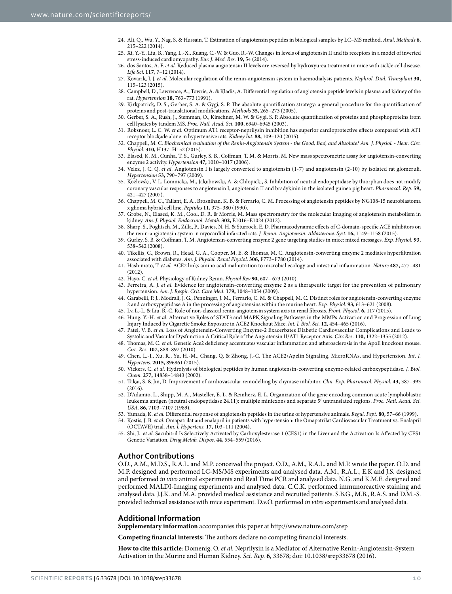- 24. Ali, Q., Wu, Y., Nag, S. & Hussain, T. Estimation of angiotensin peptides in biological samples by LC–MS method. *Anal. Methods* **6,** 215–222 (2014).
- 25. Xi, Y.-Y., Liu, B., Yang, L.-X., Kuang, C.-W. & Guo, R.-W. Changes in levels of angiotensin II and its receptors in a model of inverted stress-induced cardiomyopathy. *Eur. J. Med. Res.* **19,** 54 (2014).
- <span id="page-9-0"></span>26. dos Santos, A. F. *et al.* Reduced plasma angiotensin II levels are reversed by hydroxyurea treatment in mice with sickle cell disease. *Life Sci*. **117,** 7–12 (2014).
- <span id="page-9-3"></span>27. Kovarik, J. J. *et al.* Molecular regulation of the renin-angiotensin system in haemodialysis patients. *Nephrol. Dial. Transplant* **30,** 115–123 (2015).
- 28. Campbell, D., Lawrence, A., Towrie, A. & Kladis, A. Differential regulation of angiotensin peptide levels in plasma and kidney of the rat. *Hypertension* **18,** 763–773 (1991).
- <span id="page-9-1"></span>29. Kirkpatrick, D. S., Gerber, S. A. & Gygi, S. P. The absolute quantification strategy: a general procedure for the quantification of proteins and post-translational modifications. *Methods* **35,** 265–273 (2005).
- <span id="page-9-2"></span>30. Gerber, S. A., Rush, J., Stemman, O., Kirschner, M. W. & Gygi, S. P. Absolute quantification of proteins and phosphoproteins from cell lysates by tandem MS. *Proc. Natl. Acad. Sci*. **100,** 6940–6945 (2003).
- <span id="page-9-4"></span>31. Roksnoer, L. C. W. *et al.* Optimum AT1 receptor-neprilysin inhibition has superior cardioprotective effects compared with AT1 receptor blockade alone in hypertensive rats. *Kidney Int*. **88,** 109–120 (2015).
- <span id="page-9-5"></span>32. Chappell, M. C. *Biochemical evaluation of the Renin-Angiotensin System - the Good, Bad, and Absolute? Am. J. Physiol. - Hear. Circ. Physiol*. **310,** H137–H152 (2015).
- <span id="page-9-6"></span>33. Elased, K. M., Cunha, T. S., Gurley, S. B., Coffman, T. M. & Morris, M. New mass spectrometric assay for angiotensin-converting enzyme 2 activity. *Hypertension* **47,** 1010–1017 (2006).
- <span id="page-9-7"></span>34. Velez, J. C. Q. *et al.* Angiotensin I is largely converted to angiotensin (1-7) and angiotensin (2-10) by isolated rat glomeruli. *Hypertension* **53,** 790–797 (2009).
- <span id="page-9-8"></span>35. Kozlovski, V. I., Lomnicka, M., Jakubowski, A. & Chlopicki, S. Inhibition of neutral endopeptidase by thiorphan does not modify coronary vascular responses to angiotensin I, angiotensin II and bradykinin in the isolated guinea pig heart. *Pharmacol. Rep*. **59,** 421–427 (2007).
- <span id="page-9-9"></span>36. Chappell, M. C., Tallant, E. A., Brosnihan, K. B. & Ferrario, C. M. Processing of angiotensin peptides by NG108-15 neuroblastoma x glioma hybrid cell line. *Peptides* **11,** 375–380 (1990).
- <span id="page-9-10"></span>37. Grobe, N., Elased, K. M., Cool, D. R. & Morris, M. Mass spectrometry for the molecular imaging of angiotensin metabolism in kidney. *Am. J. Physiol. Endocrinol. Metab.* **302,** E1016–E1024 (2012).
- <span id="page-9-11"></span>38. Sharp, S., Poglitsch, M., Zilla, P., Davies, N. H. & Sturrock, E. D. Pharmacodynamic effects of C-domain-specific ACE inhibitors on the renin-angiotensin system in myocardial infarcted rats. *J. Renin. Angiotensin. Aldosterone. Syst*. **16,** 1149–1158 (2015).
- <span id="page-9-12"></span>39. Gurley, S. B. & Coffman, T. M. Angiotensin-converting enzyme 2 gene targeting studies in mice: mixed messages. *Exp. Physiol*. **93,** 538–542 (2008).
- 40. Tikellis, C., Brown, R., Head, G. A., Cooper, M. E. & Thomas, M. C. Angiotensin-converting enzyme 2 mediates hyperfiltration associated with diabetes. *Am. J. Physiol. Renal Physiol*. **306,** F773–F780 (2014).
- <span id="page-9-22"></span>41. Hashimoto, T. *et al.* ACE2 links amino acid malnutrition to microbial ecology and intestinal inflammation. *Nature* **487,** 477–481 (2012).
- <span id="page-9-13"></span>42. Hayo, C. *et al.* Physiology of Kidney Renin. *Physiol Rev* **90,** 607– 673 (2010).
- <span id="page-9-14"></span>43. Ferreira, A. J. *et al.* Evidence for angiotensin-converting enzyme 2 as a therapeutic target for the prevention of pulmonary hypertension. *Am. J. Respir. Crit. Care Med.* **179,** 1048–1054 (2009).
- <span id="page-9-15"></span>44. Garabelli, P. J., Modrall, J. G., Penninger, J. M., Ferrario, C. M. & Chappell, M. C. Distinct roles for angiotensin-converting enzyme 2 and carboxypeptidase A in the processing of angiotensins within the murine heart. *Exp. Physiol*. **93,** 613–621 (2008).
- <span id="page-9-16"></span>45. Lv, L.-L. & Liu, B.-C. Role of non-classical renin-angiotensin system axis in renal fibrosis. *Front. Physiol.* **6,** 117 (2015).
- <span id="page-9-17"></span>46. Hung, Y.-H. *et al.* Alternative Roles of STAT3 and MAPK Signaling Pathways in the MMPs Activation and Progression of Lung Injury Induced by Cigarette Smoke Exposure in ACE2 Knockout Mice. *Int. J. Biol. Sci.* **12,** 454–465 (2016).
- <span id="page-9-18"></span>47. Patel, V. B. *et al.* Loss of Angiotensin-Converting Enzyme-2 Exacerbates Diabetic Cardiovascular Complications and Leads to Systolic and Vascular Dysfunction A Critical Role of the Angiotensin II/AT1 Receptor Axis. *Circ Res*. **110,** 1322–1355 (2012).
- <span id="page-9-19"></span>48. Thomas, M. C. *et al.* Genetic Ace2 deficiency accentuates vascular inflammation and atherosclerosis in the ApoE knockout mouse. *Circ. Res.* **107,** 888–897 (2010).
- <span id="page-9-20"></span>49. Chen, L.-J., Xu, R., Yu, H.-M., Chang, Q. & Zhong, J.-C. The ACE2/Apelin Signaling, MicroRNAs, and Hypertension. *Int. J. Hypertens.* **2015,** 896861 (2015).
- <span id="page-9-21"></span>50. Vickers, C. *et al.* Hydrolysis of biological peptides by human angiotensin-converting enzyme-related carboxypeptidase. *J.* B*iol. Chem*. **277,** 14838–14843 (2002).
- <span id="page-9-23"></span>51. Takai, S. & Jin, D. Improvement of cardiovascular remodelling by chymase inhibitor. *Clin. Exp. Pharmacol. Physiol.* **43,** 387–393 (2016).
- <span id="page-9-24"></span>52. D'Adamio, L., Shipp, M. A., Masteller, E. L. & Reinherz, E. L. Organization of the gene encoding common acute lymphoblastic leukemia antigen (neutral endopeptidase 24.11): multiple miniexons and separate 5′ untranslated regions. *Proc. Natl. Acad. Sci. USA.* **86,** 7103–7107 (1989).
- <span id="page-9-25"></span>53. Yamada, K. *et al.* Differential response of angiotensin peptides in the urine of hypertensive animals. *Regul. Pept.* **80,** 57–66 (1999).
- <span id="page-9-26"></span>54. Kostis, J. B. *et al.* Omapatrilat and enalapril in patients with hypertension: the Omapatrilat Cardiovascular Treatment vs. Enalapril (OCTAVE) trial. *Am. J. Hypertens.* **17,** 103–111 (2004).
- <span id="page-9-27"></span>55. Shi, J. *et al.* Sacubitril Is Selectively Activated by Carboxylesterase 1 (CES1) in the Liver and the Activation Is Affected by CES1 Genetic Variation. *Drug Metab. Dispos.* **44,** 554–559 (2016).

### **Author Contributions**

O.D., A.M., M.D.S., R.A.L. and M.P. conceived the project. O.D., A.M., R.A.L. and M.P. wrote the paper. O.D. and M.P. designed and performed LC-MS/MS experiments and analysed data. A.M., R.A.L., E.K and J.S. designed and performed *in vivo* animal experiments and Real Time PCR and analysed data. N.G. and K.M.E. designed and performed MALDI-Imaging experiments and analysed data. C.C.K. performed immunoreactive staining and analysed data. J.J.K. and M.A. provided medical assistance and recruited patients. S.B.G., M.B., R.A.S. and D.M.-S. provided technical assistance with mice experiment. D.v.O. performed *in vitro* experiments and analysed data.

### **Additional Information**

**Supplementary information** accompanies this paper at <http://www.nature.com/srep>

**Competing financial interests:** The authors declare no competing financial interests.

**How to cite this article**: Domenig, O. *et al.* Neprilysin is a Mediator of Alternative Renin-Angiotensin-System Activation in the Murine and Human Kidney. *Sci. Rep.* **6**, 33678; doi: 10.1038/srep33678 (2016).